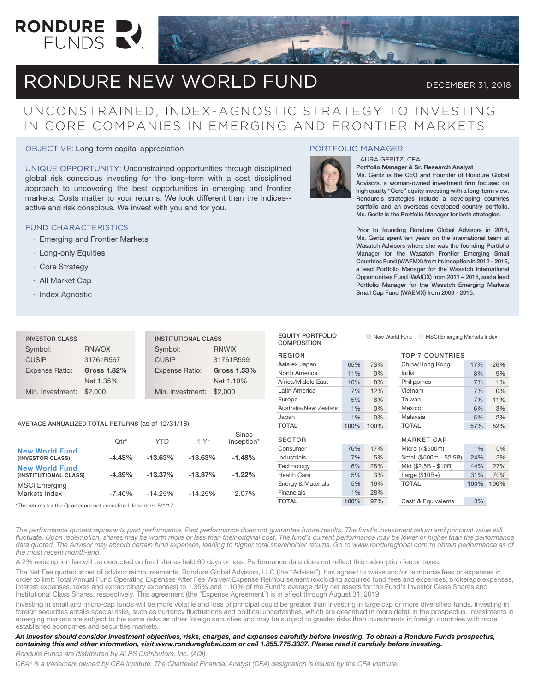

# RONDURE NEW WORLD FUND DECEMBER 31, 2018

### UNCONSTRAINED, INDEX-AGNOSTIC STRATEGY TO INVESTING IN CORE COMPANIES IN EMERGING AND FRONTIER MARKETS

OBJECTIVE: Long-term capital appreciation

UNIQUE OPPORTUNITY: Unconstrained opportunities through disciplined global risk conscious investing for the long-term with a cost disciplined approach to uncovering the best opportunities in emerging and frontier markets. Costs matter to your returns. We look different than the indices- active and risk conscious. We invest with you and for you.

### FUND CHARACTERISTICS

- · Emerging and Frontier Markets
- · Long-only Equities
- · Core Strategy
- · All Market Cap
- · Index Agnostic

### PORTFOLIO MANAGER:



EQUITY PORTFOLIO

#### Portfolio Manager & Sr. Research Analyst

LAURA GERITZ, CFA

Ms. Geritz is the CEO and Founder of Rondure Global Advisors, a woman-owned investment firm focused on high quality "Core" equity investing with a long-term view. Rondure's strategies include a developing countries portfolio and an overseas developed country portfolio. Ms. Geritz is the Portfolio Manager for both strategies.

Prior to founding Rondure Global Advisors in 2016, Ms. Geritz spent ten years on the international team at Wasatch Advisors where she was the founding Portfolio Manager for the Wasatch Frontier Emerging Small Countries Fund (WAFMX) from its inception in 2012 – 2016, a lead Portfolio Manager for the Wasatch International Opportunities Fund (WAIOX) from 2011 – 2016, and a lead Portfolio Manager for the Wasatch Emerging Markets Small Cap Fund (WAEMX) from 2009 - 2015.

n New World Fund n MSCI Emerging Markets Index

| <b>INVESTOR CLASS</b> |              | <b>INSTITUTIONAL CLASS</b> |              |  |
|-----------------------|--------------|----------------------------|--------------|--|
| Symbol:               | <b>RNWOX</b> | Symbol:                    | <b>RNWIX</b> |  |
| <b>CUSIP</b>          | 31761R567    | <b>CUSIP</b>               | 31761R559    |  |
| <b>Expense Ratio:</b> | Gross 1.82%  | Expense Ratio:             | Gross 1.53%  |  |
|                       | Net 1.35%    |                            | Net 1.10%    |  |
| Min. Investment:      | \$2,000      | Min. Investment: \$2,000   |              |  |

### AVERAGE ANNUALIZED TOTAL RETURNS (as of 12/31/18)

|                                                | $Qtr^*$  | <b>YTD</b> | 1 Yr      | Since<br>Inception* |
|------------------------------------------------|----------|------------|-----------|---------------------|
| <b>New World Fund</b><br>(INVESTOR CLASS)      | $-4.48%$ | $-13.63%$  | $-13.63%$ | $-1.48%$            |
| <b>New World Fund</b><br>(INSTITUTIONAL CLASS) | $-4.39%$ | $-13.37%$  | $-13.37%$ | $-1.22%$            |
| <b>MSCI</b> Emerging<br>Markets Index          | $-7.40%$ | $-14.25%$  | $-14.25%$ | 2.07%               |

\*The returns for the Quarter are not annualized. Inception: 5/1/17.

| <b>COMPOSITION</b>    |      |      | $\sim$ ivew viding in the independent production of $\sim$ |      |      |
|-----------------------|------|------|------------------------------------------------------------|------|------|
| <b>REGION</b>         |      |      | <b>TOP 7 COUNTRIES</b>                                     |      |      |
| Asia ex Japan         | 65%  | 73%  | China/Hong Kong                                            | 17%  | 26%  |
| North America         | 11%  | 0%   | India                                                      | 8%   | 9%   |
| Africa/Middle East    | 10%  | 8%   | Philippines                                                | 7%   | 1%   |
| Latin America         | 7%   | 12%  | Vietnam                                                    | 7%   | 0%   |
| Europe                | 5%   | 6%   | Taiwan                                                     | 7%   | 11%  |
| Australia/New Zealand | 1%   | 0%   | Mexico                                                     | 6%   | 3%   |
| Japan                 | 1%   | 0%   | Malaysia                                                   | 5%   | 2%   |
| TOTAL                 |      |      | <b>TOTAL</b>                                               |      |      |
|                       | 100% | 100% |                                                            | 57%  | 52%  |
| <b>SECTOR</b>         |      |      | <b>MARKET CAP</b>                                          |      |      |
| Consumer              | 76%  | 17%  | Micro $($500m)$                                            | 1%   | 0%   |
| <b>Industrials</b>    | 7%   | 5%   | Small (\$500m - \$2.5B)                                    | 24%  | 3%   |
| Technology            | 6%   | 28%  | Mid (\$2.5B - \$10B)                                       | 44%  | 27%  |
| <b>Health Care</b>    | 5%   | 3%   | Large $($10B+)$                                            | 31%  | 70%  |
| Energy & Materials    | 5%   | 16%  | <b>TOTAL</b>                                               | 100% | 100% |
| Financials            | 1%   | 28%  |                                                            |      |      |

The performance quoted represents past performance. Past performance does not guarantee future results. The fund's investment return and principal value will fluctuate. Upon redemption, shares may be worth more or less than their original cost. The fund's current performance may be lower or higher than the performance data quoted. The Advisor may absorb certain fund expenses, leading to higher total shareholder returns. Go to www.rondureglobal.com to obtain performance as of *the most recent month-end.*

A 2% redemption fee will be deducted on fund shares held 60 days or less. Performance data does not reflect this redemption fee or taxes.

The Net Fee quoted is net of advisor reimbursements. Rondure Global Advisors, LLC (the "Adviser"), has agreed to waive and/or reimburse fees or expenses in order to limit Total Annual Fund Operating Expenses After Fee Waiver/ Expense Reimbursement (excluding acquired fund fees and expenses, brokerage expenses, interest expenses, taxes and extraordinary expenses) to 1.35% and 1.10% of the Fund's average daily net assets for the Fund's Investor Class Shares and Institutional Class Shares, respectively. This agreement (the "Expense Agreement") is in effect through August 31, 2019.

Investing in small and micro-cap funds will be more volatile and loss of principal could be greater than investing in large cap or more diversified funds. Investing in foreign securities entails special risks, such as currency fluctuations and political uncertainties, which are described in more detail in the prospectus. Investments in emerging markets are subject to the same risks as other foreign securities and may be subject to greater risks than investments in foreign countries with more established economies and securities markets.

### *An investor should consider investment objectives, risks, charges, and expenses carefully before investing. To obtain a Rondure Funds prospectus, containing this and other information, visit www.rondureglobal.com or call 1.855.775.3337. Please read it carefully before investing.*

*Rondure Funds are distributed by ALPS Distributors, Inc. (ADI).*

*CFA® is a trademark owned by CFA Institute. The Chartered Financial Analyst (CFA) designation is issued by the CFA Institute.*